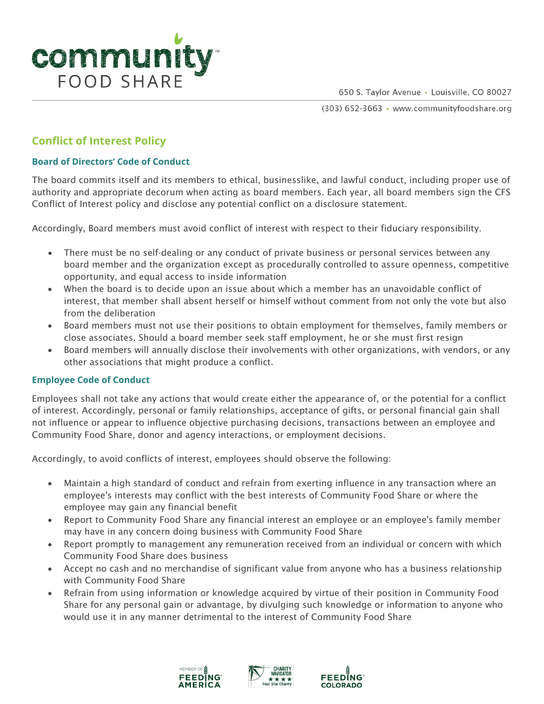

650 S. Taylor Avenue · Louisville, CO 80027

(303) 652-3663 · www.communityfoodshare.org

## **Conflict of Interest Policy**

## **Board of Directors' Code of Conduct**

The board commits itself and its members to ethical, businesslike, and lawful conduct, including proper use of authority and appropriate decorum when acting as board members. Each year, all board members sign the CFS Conflict of Interest policy and disclose any potential conflict on a disclosure statement.

Accordingly, Board members must avoid conflict of interest with respect to their fiduciary responsibility.

- There must be no self-dealing or any conduct of private business or personal services between any board member and the organization except as procedurally controlled to assure openness, competitive opportunity, and equal access to inside information
- When the board is to decide upon an issue about which a member has an unavoidable conflict of interest, that member shall absent herself or himself without comment from not only the vote but also from the deliberation
- Board members must not use their positions to obtain employment for themselves, family members or close associates. Should a board member seek staff employment, he or she must first resign
- Board members will annually disclose their involvements with other organizations, with vendors, or any other associations that might produce a conflict.

## **Employee Code of Conduct**

Employees shall not take any actions that would create either the appearance of, or the potential for a conflict of interest. Accordingly, personal or family relationships, acceptance of gifts, or personal financial gain shall not influence or appear to influence objective purchasing decisions, transactions between an employee and Community Food Share, donor and agency interactions, or employment decisions.

Accordingly, to avoid conflicts of interest, employees should observe the following:

- Maintain a high standard of conduct and refrain from exerting influence in any transaction where an employee's interests may conflict with the best interests of Community Food Share or where the employee may gain any financial benefit
- Report to Community Food Share any financial interest an employee or an employee's family member may have in any concern doing business with Community Food Share
- Report promptly to management any remuneration received from an individual or concern with which Community Food Share does business
- Accept no cash and no merchandise of significant value from anyone who has a business relationship with Community Food Share
- Refrain from using information or knowledge acquired by virtue of their position in Community Food Share for any personal gain or advantage, by divulging such knowledge or information to anyone who would use it in any manner detrimental to the interest of Community Food Share